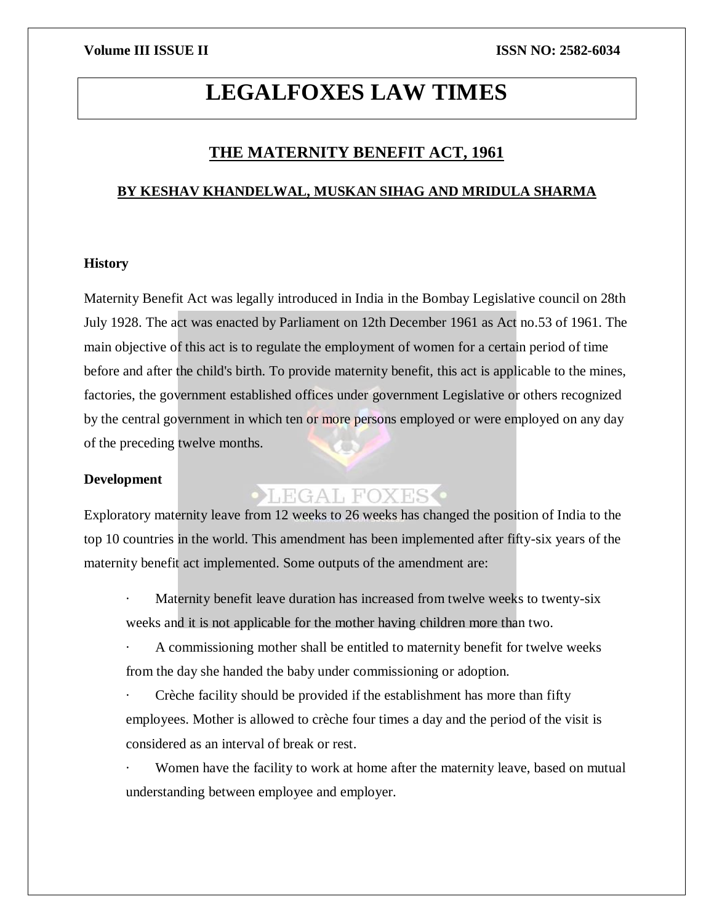# **LEGALFOXES LAW TIMES**

### **THE MATERNITY BENEFIT ACT, 1961**

#### **BY KESHAV KHANDELWAL, MUSKAN SIHAG AND MRIDULA SHARMA**

#### **History**

Maternity Benefit Act was legally introduced in India in the Bombay Legislative council on 28th July 1928. The act was enacted by Parliament on 12th December 1961 as Act no.53 of 1961. The main objective of this act is to regulate the employment of women for a certain period of time before and after the child's birth. To provide maternity benefit, this act is applicable to the mines, factories, the government established offices under government Legislative or others recognized by the central government in which ten or more persons employed or were employed on any day of the preceding twelve months.

#### **Development**

## LEGAL FOXES

Exploratory maternity leave from 12 weeks to 26 weeks has changed the position of India to the top 10 countries in the world. This amendment has been implemented after fifty-six years of the maternity benefit act implemented. Some outputs of the amendment are:

Maternity benefit leave duration has increased from twelve weeks to twenty-six weeks and it is not applicable for the mother having children more than two.

A commissioning mother shall be entitled to maternity benefit for twelve weeks from the day she handed the baby under commissioning or adoption.

Crèche facility should be provided if the establishment has more than fifty employees. Mother is allowed to crèche four times a day and the period of the visit is considered as an interval of break or rest.

Women have the facility to work at home after the maternity leave, based on mutual understanding between employee and employer.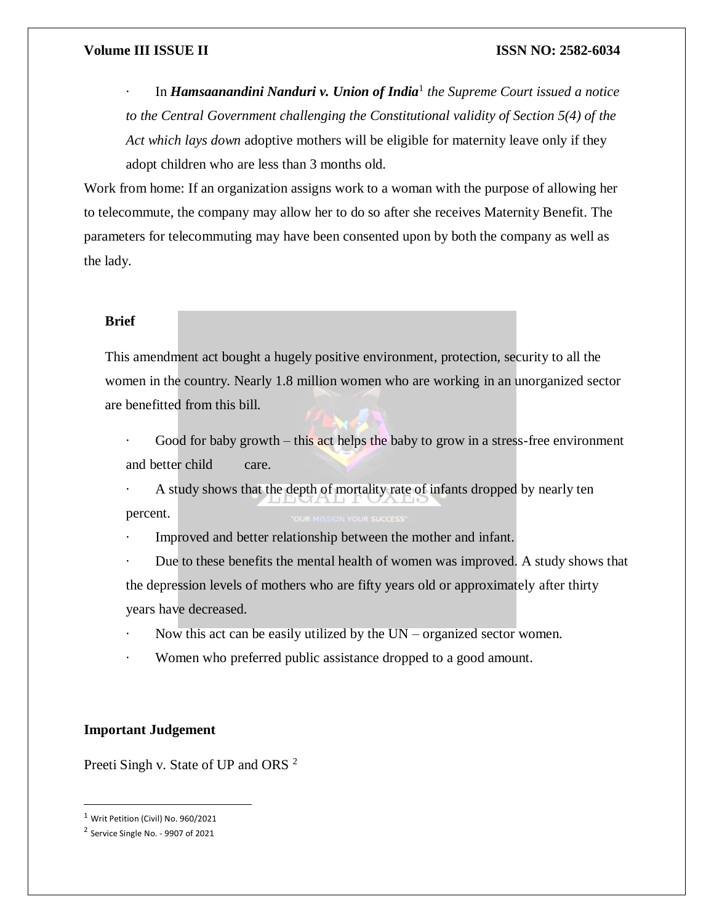#### **Volume III ISSUE II ISSN NO: 2582-6034**

· In *Hamsaanandini Nanduri v. Union of India*<sup>1</sup> *the Supreme Court issued a notice to the Central Government challenging the Constitutional validity of Section 5(4) of the Act which lays down* adoptive mothers will be eligible for maternity leave only if they adopt children who are less than 3 months old.

Work from home: If an organization assigns work to a woman with the purpose of allowing her to telecommute, the company may allow her to do so after she receives Maternity Benefit. The parameters for telecommuting may have been consented upon by both the company as well as the lady.

### **Brief**

This amendment act bought a hugely positive environment, protection, security to all the women in the country. Nearly 1.8 million women who are working in an unorganized sector are benefitted from this bill.

Good for baby growth – this act helps the baby to grow in a stress-free environment and better child care.

A study shows that the depth of mortality rate of infants dropped by nearly ten percent.

Improved and better relationship between the mother and infant.

Due to these benefits the mental health of women was improved. A study shows that the depression levels of mothers who are fifty years old or approximately after thirty years have decreased.

- Now this act can be easily utilized by the  $UN -$  organized sector women.
- Women who preferred public assistance dropped to a good amount.

#### **Important Judgement**

Preeti Singh v. State of UP and ORS<sup>2</sup>

 $\overline{\phantom{a}}$ 

<sup>1</sup> Writ Petition (Civil) No. 960/2021

<sup>&</sup>lt;sup>2</sup> Service Single No. - 9907 of 2021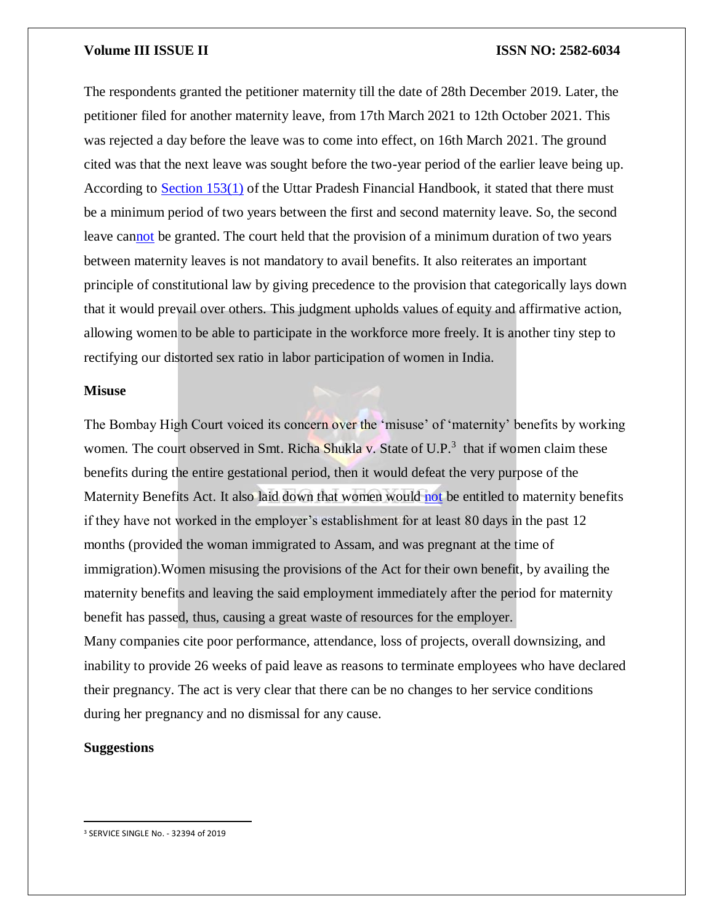#### **Volume III ISSUE II ISSN NO: 2582-6034**

The respondents granted the petitioner maternity till the date of 28th December 2019. Later, the petitioner filed for another maternity leave, from 17th March 2021 to 12th October 2021. This was rejected a day before the leave was to come into effect, on 16th March 2021. The ground cited was that the next leave was sought before the two-year period of the earlier leave being up. According to [Section 153\(1\)](http://www.bareactslive.com/ALL/up920.htm) of the Uttar Pradesh Financial Handbook, it stated that there must be a minimum period of two years between the first and second maternity leave. So, the second leave ca[nnot](https://indiankanoon.org/doc/54533167/) be granted. The court held that the provision of a minimum duration of two years between maternity leaves is not mandatory to avail benefits. It also reiterates an important principle of constitutional law by giving precedence to the provision that categorically lays down that it would prevail over others. This judgment upholds values of equity and affirmative action, allowing women to be able to participate in the workforce more freely. It is another tiny step to rectifying our distorted sex ratio in labor participation of women in India.

#### **Misuse**

The Bombay High Court voiced its concern over the 'misuse' of 'maternity' benefits by working women. The court observed in Smt. Richa Shukla v. State of U.P.<sup>3</sup> that if women claim these benefits during the entire gestational period, then it would defeat the very purpose of the Maternity Benefits Act. It also laid down that women would [not](https://indiankanoon.org/doc/54533167/) be entitled to maternity benefits if they have not worked in the employer's establishment for at least 80 days in the past 12 months (provided the woman immigrated to Assam, and was pregnant at the time of immigration).Women misusing the provisions of the Act for their own benefit, by availing the maternity benefits and leaving the said employment immediately after the period for maternity benefit has passed, thus, causing a great waste of resources for the employer. Many companies cite poor performance, attendance, loss of projects, overall downsizing, and inability to provide 26 weeks of paid leave as reasons to terminate employees who have declared their pregnancy. The act is very clear that there can be no changes to her service conditions during her pregnancy and no dismissal for any cause.

#### **Suggestions**

 $\overline{\phantom{a}}$ 

<sup>3</sup> SERVICE SINGLE No. - 32394 of 2019